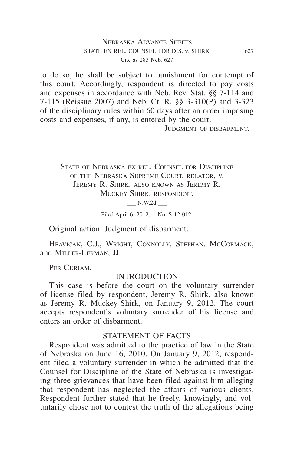## Nebraska Advance Sheets state ex rel. counsel for dis. v. shirk 627 Cite as 283 Neb. 627

to do so, he shall be subject to punishment for contempt of this court. Accordingly, respondent is directed to pay costs and expenses in accordance with Neb. Rev. Stat. §§ 7-114 and 7-115 (Reissue 2007) and Neb. Ct. R. §§ 3-310(P) and 3-323 of the disciplinary rules within 60 days after an order imposing costs and expenses, if any, is entered by the court.

Judgment of disbarment.

STATE OF NEBRASKA EX REL. COUNSEL FOR DISCIPLINE of the Nebraska Supreme Court, relator, v. Jeremy R. Shirk, also known as Jeremy R. Muckey-Shirk, respondent.

 $\_\_$  N.W.2d  $\_\_$ 

Filed April 6, 2012. No. S-12-012.

Original action. Judgment of disbarment.

HEAVICAN, C.J., WRIGHT, CONNOLLY, STEPHAN, MCCORMACK, and Miller-Lerman, JJ.

PER CURIAM.

## INTRODUCTION

This case is before the court on the voluntary surrender of license filed by respondent, Jeremy R. Shirk, also known as Jeremy R. Muckey-Shirk, on January 9, 2012. The court accepts respondent's voluntary surrender of his license and enters an order of disbarment.

#### STATEMENT OF FACTS

Respondent was admitted to the practice of law in the State of Nebraska on June 16, 2010. On January 9, 2012, respondent filed a voluntary surrender in which he admitted that the Counsel for Discipline of the State of Nebraska is investigating three grievances that have been filed against him alleging that respondent has neglected the affairs of various clients. Respondent further stated that he freely, knowingly, and voluntarily chose not to contest the truth of the allegations being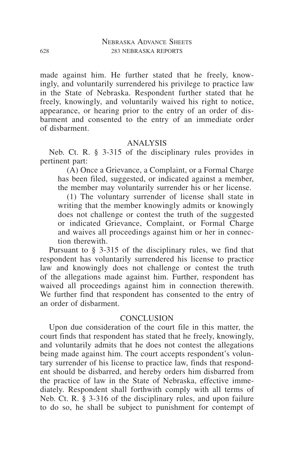made against him. He further stated that he freely, knowingly, and voluntarily surrendered his privilege to practice law in the State of Nebraska. Respondent further stated that he freely, knowingly, and voluntarily waived his right to notice, appearance, or hearing prior to the entry of an order of disbarment and consented to the entry of an immediate order of disbarment.

## ANALYSIS

Neb. Ct. R. § 3-315 of the disciplinary rules provides in pertinent part:

(A) Once a Grievance, a Complaint, or a Formal Charge has been filed, suggested, or indicated against a member, the member may voluntarily surrender his or her license.

(1) The voluntary surrender of license shall state in writing that the member knowingly admits or knowingly does not challenge or contest the truth of the suggested or indicated Grievance, Complaint, or Formal Charge and waives all proceedings against him or her in connection therewith.

Pursuant to § 3-315 of the disciplinary rules, we find that respondent has voluntarily surrendered his license to practice law and knowingly does not challenge or contest the truth of the allegations made against him. Further, respondent has waived all proceedings against him in connection therewith. We further find that respondent has consented to the entry of an order of disbarment.

#### **CONCLUSION**

Upon due consideration of the court file in this matter, the court finds that respondent has stated that he freely, knowingly, and voluntarily admits that he does not contest the allegations being made against him. The court accepts respondent's voluntary surrender of his license to practice law, finds that respondent should be disbarred, and hereby orders him disbarred from the practice of law in the State of Nebraska, effective immediately. Respondent shall forthwith comply with all terms of Neb. Ct. R. § 3-316 of the disciplinary rules, and upon failure to do so, he shall be subject to punishment for contempt of